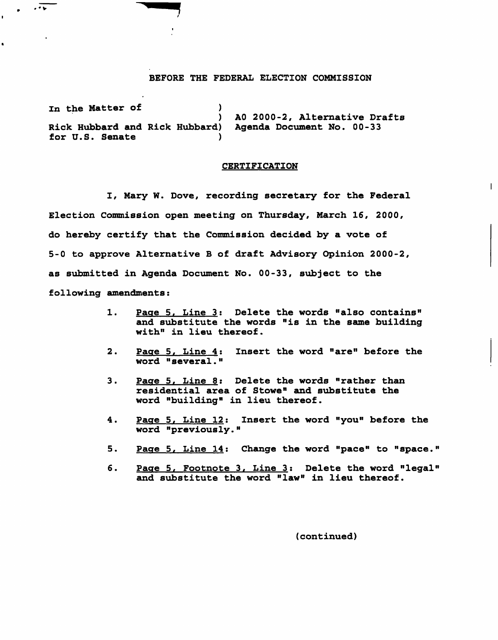## BEFORE THE FEDERAL ELECTION COMMISSION

In the Matter of (1) ) AO 2000-2, Alternative Drafts Rick Hubbard and Rick Hubbard) Agenda Document No. 00-33 for U.S. Senate )

 $\sqrt{2}$ 

## CERTIFICATION

I, Mary W. Dove, recording secretary for the Federal Election Commission open meeting on Thursday, March 16, 2000, do hereby certify that the Commission decided by a vote of 5-0 to approve Alternative B of draft Advisory Opinion 2000-2, as submitted in Agenda Document No. 00-33, subject to the following amendments:

- 1. Page 5. Line 3: Delete the words "also contains" and substitute the words "is in the same building with" in lieu thereof.
- 2. Page 5, Line 4: Insert the word "are" before the word "several."
- 3. Page 5, Line 8: Delete the words "rather than residential area of Stowe" and substitute the word "building" in lieu thereof.
- 4. Page 5. Line 12; Insert the word "you" before the word "previously."
- 5. Page 5, Line 14: Change the word "pace" to "space."
- 6. Page 5, Footnote 3, Line 3; Delete the word "legal" and substitute the word "law" in lieu thereof.

(continued)

 $\mathbf{I}$